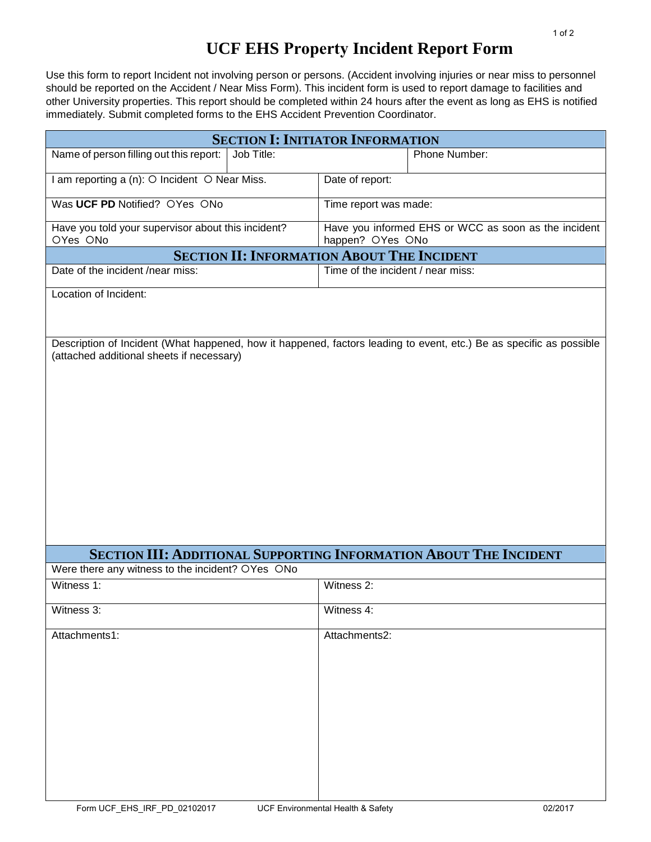## **UCF EHS Property Incident Report Form**

Use this form to report Incident not involving person or persons. (Accident involving injuries or near miss to personnel should be reported on the Accident / Near Miss Form). This incident form is used to report damage to facilities and other University properties. This report should be completed within 24 hours after the event as long as EHS is notified immediately. Submit completed forms to the EHS Accident Prevention Coordinator.

| <b>SECTION I: INITIATOR INFORMATION</b>                        |            |                                                                          |                                                                                                                     |  |  |  |  |
|----------------------------------------------------------------|------------|--------------------------------------------------------------------------|---------------------------------------------------------------------------------------------------------------------|--|--|--|--|
| Name of person filling out this report:                        | Job Title: |                                                                          | Phone Number:                                                                                                       |  |  |  |  |
| I am reporting a (n): O Incident O Near Miss.                  |            | Date of report:                                                          |                                                                                                                     |  |  |  |  |
| Was UCF PD Notified? OYes ONo                                  |            | Time report was made:                                                    |                                                                                                                     |  |  |  |  |
| Have you told your supervisor about this incident?<br>OYes ONo |            | Have you informed EHS or WCC as soon as the incident<br>happen? OYes ONo |                                                                                                                     |  |  |  |  |
| <b>SECTION II: INFORMATION ABOUT THE INCIDENT</b>              |            |                                                                          |                                                                                                                     |  |  |  |  |
| Date of the incident /near miss:                               |            | Time of the incident / near miss:                                        |                                                                                                                     |  |  |  |  |
| Location of Incident:                                          |            |                                                                          |                                                                                                                     |  |  |  |  |
| (attached additional sheets if necessary)                      |            |                                                                          | Description of Incident (What happened, how it happened, factors leading to event, etc.) Be as specific as possible |  |  |  |  |
|                                                                |            |                                                                          | <b>SECTION III: ADDITIONAL SUPPORTING INFORMATION ABOUT THE INCIDENT</b>                                            |  |  |  |  |
| Were there any witness to the incident? OYes ONo               |            |                                                                          |                                                                                                                     |  |  |  |  |
| Witness 1:                                                     |            | Witness 2:                                                               |                                                                                                                     |  |  |  |  |
| Witness 3:                                                     |            | Witness 4:                                                               |                                                                                                                     |  |  |  |  |
| Attachments1:                                                  |            | Attachments2:                                                            |                                                                                                                     |  |  |  |  |